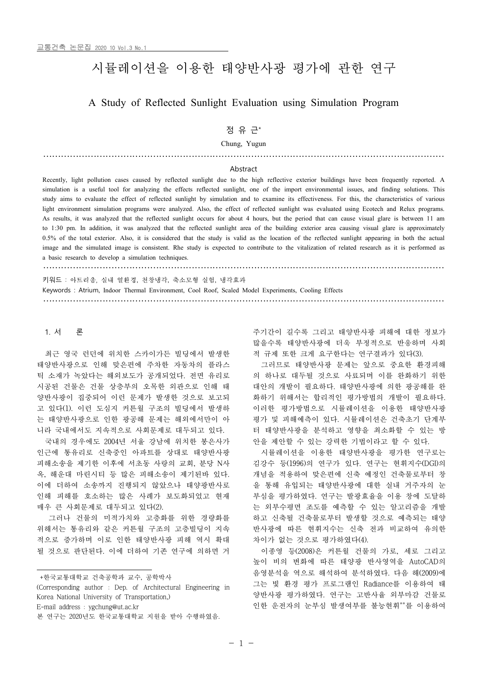# 시뮬레이션을 이용한 태양반사광 평가에 관한 연구

## A Study of Reflected Sunlight Evaluation using Simulation Program

## 정 유 근\*

Chung, Yugun

………………………………………………………………………………………………………………………

#### Abstract

Recently, light pollution cases caused by reflected sunlight due to the high reflective exterior buildings have been frequently reported. A simulation is a useful tool for analyzing the effects reflected sunlight, one of the import environmental issues, and finding solutions. This study aims to evaluate the effect of reflected sunlight by simulation and to examine its effectiveness. For this, the characteristics of various light environment simulation programs were analyzed. Also, the effect of reflected sunlight was evaluated using Ecotech and Relux programs. As results, it was analyzed that the reflected sunlight occurs for about 4 hours, but the period that can cause visual glare is between 11 am<br>to 1:30 pm. In addition, it was analyzed that the reflected sunlight area of the 0.5% of the total exterior. Also, it is considered that the study is valid as the location of the reflected sunlight appearing in both the actual image and the simulated image is consistent. Rhe study is expected to contribute to the vitalization of related research as it is performed as a basic research to develop a simulation techniques.

……………………………………………………………………………………………………………………… 키워드 : 아트리움, 실내 열환경, 천창냉각, 축소모형 실험, 냉각효과

Keywords : Atrium, Indoor Thermal Environment, Cool Roof, Scaled Model Experiments, Cooling Effects

………………………………………………………………………………………………………………………

#### 1. 서 론

최근 영국 런던에 위치한 스카이가든 빌딩에서 발생한 태양반사광으로 인해 맞은편에 주차한 자동차의 플라스 틱 소재가 녹았다는 해외보도가 공개되었다. 전면 유리로 시공된 건물은 건물 상층부의 오목한 외관으로 인해 태 양반사광이 집중되어 이런 문제가 발생한 것으로 보고되 · 화하기 위해서는 합리적인 평가방법의 개발이 필요하다. 고 있다(1). 이런 도심지 커튼월 구조의 빌딩에서 발생하 는 태양반사광으로 인한 광공해 문제는 해외에서만이 아 니라 국내에서도 지속적으로 사회문제로 대두되고 있다.

국내의 경우에도 2004년 서울 강남에 위치한 봉은사가 인근에 통유리로 신축중인 아파트를 상대로 태양반사광 피해소송을 제기한 이후에 서초동 사랑의 교회, 분당 N사 옥, 해운대 마린시티 등 많은 피해소송이 제기된바 있다.<br>이에 더하여 소송까지 진행되지 않았으나 태양광반사로 인해 피해를 호소하는 많은 사례가 보도화되었고 현재 매우 큰 사회문제로 대두되고 있다(2).

그러나 건물의 미적가치와 고층화를 위한 경량화를 위해서는 통유리와 같은 커튼월 구조의 고층빌딩이 지속 적으로 증가하며 이로 인한 태양반사광 피해 역시 확대 될 것으로 판단된다. 이에 더하여 기존 연구에 의하면 거

+한국교통대학교 건축공학과 교수, 공학박사

(Corresponding author : Dep. of Architectural Engineering in Korea National University of Transportation,) E-mail address : ygchung@ut.ac.kr

주기간이 길수록 그리고 태양반사광 피해에 대한 정보가 많을수록 태양반사광에 더욱 부정적으로 반응하며 사회 적 규제 또한 크게 요구한다는 연구결과가 있다(3).

그러므로 태양반사광 문제는 앞으로 중요한 환경피해 의 하나로 대두될 것으로 사료되며 이를 완화하기 위한 대안의 개발이 필요하다. 태양반사광에 의한 광공해를 완 이러한 평가방법으로 시뮬레이션을 이용한 태양반사광 평가 및 피해예측이 있다. 시뮬레이션은 건축초기 단계부 터 태양반사광을 분석하고 영향을 최소화할 수 있는 방 안을 제안할 수 있는 강력한 기법이라고 할 수 있다.

시뮬레이션을 이용한 태양반사광을 평가한 연구로는 김강수 등(1996)의 연구가 있다. 연구는 현휘지수(DGI)의 개념을 적용하여 맞은편에 신축 예정인 건축물로부터 창 을 통해 유입되는 태양반사광에 대한 실내 거주자의 눈 부심을 평가하였다. 연구는 발광효율을 이용 창에 도달하 는 외부수평면 조도를 예측할 수 있는 알고리즘을 개발 하고 신축될 건축물로부터 발생할 것으로 예측되는 태양 반사광에 따른 현휘지수는 신축 전과 비교하여 유의한 차이가 없는 것으로 평가하였다(4).

이종영 등(2008)은 커튼월 건물의 가로, 세로 그리고 높이 비의 변화에 따른 태양광 반사영역을 AutoCAD의 음영분석을 역으로 해석하여 분석하였다. 다음 해(2009)에 그는 빛 환경 평가 프로그램인 Radiance를 이용하여 태 양반사광 평가하였다. 연구는 고반사율 외부마감 건물로 인한 운전자의 눈부심 발생여부를 불능현휘\*\*를 이용하여

본 연구는 2020년도 한국교통대학교 지원을 받아 수행하였음.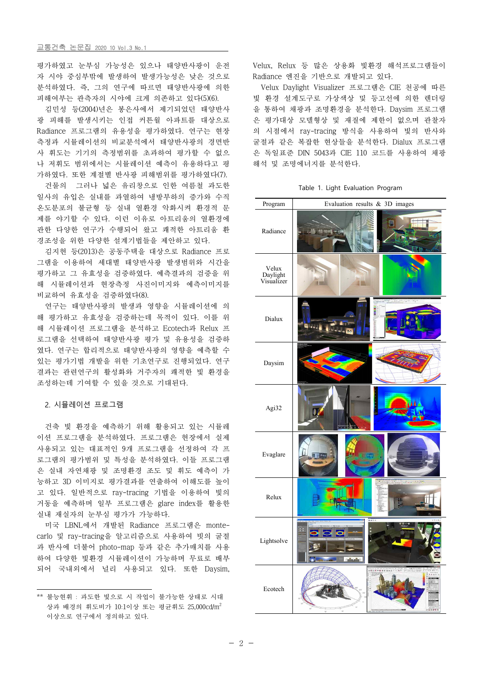평가하였고 눈부심 가능성은 있으나 태양반사광이 운전 자 시야 중심부밖에 발생하여 발생가능성은 낮은 것으로 분석하였다. 즉, 그의 연구에 따르면 태양반사광에 의한 피해여부는 관측자의 시야에 크게 의존하고 있다(5)(6).

김민성 등(2004)년은 봉은사에서 제기되었던 태양반사 광 피해를 발생시키는 인접 커튼월 아파트를 대상으로 Radiance 프로그램의 유용성을 평가하였다. 연구는 현장 측정과 시뮬레이션의 비교분석에서 태양반사광의 경면반 사 휘도는 기기의 측정범위를 초과하여 평가할 수 없으 나 저휘도 범위에서는 시뮬레이션 예측이 유용하다고 평 가하였다. 또한 계절별 반사광 피해범위를 평가하였다(7).

건물의 그러나 넓은 유리창으로 인한 여름철 과도한 일사의 유입은 실내를 과열하여 냉방부하의 증가와 수직 온도분포의 불균형 등 실내 열환경 악화시켜 환경적 문 제를 야기할 수 있다. 이런 이유로 아트리움의 열환경에 관한 다양한 연구가 수행되어 왔고 쾌적한 아트리움 환 경조성을 위한 다양한 설계기법들을 제안하고 있다.

김지현 등(2013)은 공동주택을 대상으로 Radiance 프로 그램을 이용하여 세대별 태양반사광 발생범위와 시간을 평가하고 그 유효성을 검증하였다. 예측결과의 검증을 위 해 시뮬레이션과 현장측정 사진이미지와 예측이미지를 비교하여 유효성을 검증하였다(8).

연구는 태양반사광의 발생과 영향을 시뮬레이션에 의 해 평가하고 유효성을 검증하는데 목적이 있다. 이를 위 해 시뮬레이션 프로그램을 분석하고 Ecotech과 Relux 프 로그램을 선택하여 태양반사광 평가 및 유용성을 검증하 였다. 연구는 합리적으로 태양반사광의 영향을 예측할 수 있는 평가기법 개발을 위한 기초연구로 진행되었다. 연구 결과는 관련연구의 활성화와 거주자의 쾌적한 빛 환경을 조성하는데 기여할 수 있을 것으로 기대된다.

#### 2. 시뮬레이션 프로그램

건축 빛 환경을 예측하기 위해 활용되고 있는 시뮬레 이션 프로그램을 분석하였다. 프로그램은 현장에서 실제 사용되고 있는 대표적인 9개 프로그램을 선정하여 각 프 로그램의 평가범위 및 특성을 분석하였다. 이들 프로그램 은 실내 자연채광 및 조명환경 조도 및 휘도 예측이 가 능하고 3D 이미지로 평가결과를 연출하여 이해도를 높이 고 있다. 일반적으로 ray-tracing 기법을 이용하여 빛의 거동을 예측하며 일부 프로그램은 glare index를 활용한 실내 재실자의 눈부심 평가가 가능하다. 미국 LBNL에서 개발된 Radiance 프로그램은 monte-

carlo 및 ray-tracing을 알고리즘으로 사용하여 빗의 굴절 과 반사에 더불어 photo-map 등과 같은 추가매치를 사용 하여 다양한 빛환경 시뮬레이션이 가능하며 무료로 배부 되어 국내외에서 널리 사용되고 있다. 또한 Daysim,

Velux, Relux 등 많은 상용화 빛환경 해석프로그램들이 Radiance 엔진을 기반으로 개발되고 있다.

Velux Daylight Visualizer 프로그램은 CIE 천공에 따른 빛 환경 설계도구로 가상색상 및 등고선에 의한 렌더링 을 통하여 채광과 조명환경을 분석한다. Daysim 프로그램 은 평가대상 모델형상 및 재질에 제한이 없으며 관찰자 의 시점에서 ray-tracing 방식을 사용하여 빛의 반사와 굴절과 같은 복잡한 현상들을 분석한다. Dialux 프로그램 은 독일표준 DIN 5043과 CIE 110 코드를 사용하여 채광 해석 및 조명에너지를 분석한다.

|  |  |  |  | Table 1. Light Evaluation Program |  |
|--|--|--|--|-----------------------------------|--|
|--|--|--|--|-----------------------------------|--|

| Program                         | Evaluation results & 3D images                                    |
|---------------------------------|-------------------------------------------------------------------|
| Radiance                        | <b>MAI HOME</b>                                                   |
| Velux<br>Daylight<br>Visualizer |                                                                   |
| Dialux                          | <b>Bally</b><br>وهو عاماماه                                       |
| Daysim                          |                                                                   |
| Agi32                           | ۱                                                                 |
| Evaglare                        |                                                                   |
| Relux                           | $\mathcal{F}$ , $\mathcal{F}$ , $\mathcal{F}$ , and $\mathcal{F}$ |
| Lightsolve                      |                                                                   |
| Ecotech                         |                                                                   |

<sup>\*\*</sup> 불능현휘 : 과도한 빛으로 시 작업이 불가능한 상태로 시대 상과 배경의 휘도비가 10:1이상 또는 평균휘도 25,000cd/m<sup>2</sup>이상으로 연구에서 정의하고 있다.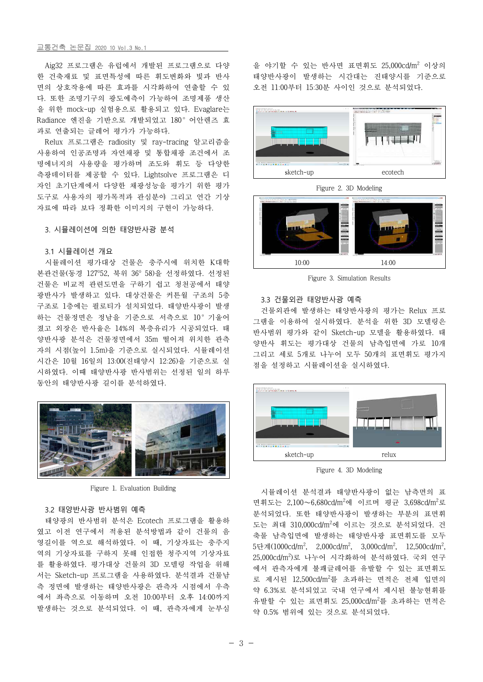#### 교통건축 논문집 2020 10 Vol.3 No.1

Aig32 프로그램은 유럽에서 개발된 프로그램으로 다양 한 건축재료 및 표면특성에 따른 휘도변화와 빛과 반사 면의 상호작용에 따른 효과를 시각화하여 연출할 수 있 다. 또한 조명기구의 광도예측이 가능하여 조명제품 생산 을 위한 mock-up 실험용으로 활용되고 있다. Evaglare는 Radiance 엔진을 기반으로 개발되었고 180°어안렌즈 효 과로 연출되는 글레어 평가가 가능하다. Relux 프로그램은 radiosity 및 ray-tracing 알고리즘을

사용하여 인공조명과 자연채광 및 통합채광 조건에서 조 명에너지의 사용량을 평가하며 조도와 휘도 등 다양한 측광데이터를 제공할 수 있다. Lightsolve 프로그램은 디 자인 초기단계에서 다양한 채광성능을 평가기 위한 평가 도구로 사용자의 평가목적과 관심분야 그리고 연간 기상 자료에 따라 보다 정확한 이미지의 구현이 가능하다.

#### 3. 시뮬레이션에 의한 태양반사광 분석

#### 3.1 시뮬레이션 개요

시뮬레이션 평가대상 건물은 충주시에 위치한 K대학 본관건물(동경 127°52, 북위 36° 58)을 선정하였다. 선정된 건물은 비교적 관련도면을 구하기 쉽고 청천공에서 태양 광반사가 발생하고 있다. 대상건물은 커튼월 구조의 5층 구조로 1층에는 필로티가 설치되었다. 태양반사광이 발생 하는 건물정면은 정남을 기준으로 서측으로 10°기울어 졌고 외장은 반사율은 14%의 복층유리가 시공되었다. 태 양반사광 분석은 건물정면에서 35m 떨어져 위치한 관측 자의 시점(높이 1.5m)을 기준으로 실시되었다. 시뮬레이션 시간은 10월 16일의 13:00(진태양시 12:26)을 기준으로 실 시하였다. 이때 태양반사광 반사범위는 선정된 일의 하루 동안의 태양반사광 길이를 분석하였다.



Figure 1. Evaluation Building

#### 3.2 태양반사광 반사범위 예측

태양광의 반사범위 분석은 Ecotech 프로그램을 활용하 였고 이전 연구에서 적용된 분석방법과 같이 건물의 음 영길이를 역으로 해석하였다. 이 때, 기상자료는 충주지 역의 기상자료를 구하지 못해 인접한 청주지역 기상자료 를 활용하였다. 평가대상 건물의 3D 모델링 작업을 위해 서는 Sketch-up 프로그램을 사용하였다. 분석결과 건물남 측 정면에 발생하는 태양반사광은 관측자 시점에서 우측 에서 좌측으로 이동하며 오전 10:00부터 오후 14:00까지 발생하는 것으로 분석되었다. 이 때, 관측자에게 눈부심

을 야기할 수 있는 반사면 표면휘도 25,000cd/m<sup>2</sup> 이상의 태양반사광이 발생하는 시간대는 진태양시를 기준으로 오전 11:00부터 15:30분 사이인 것으로 분석되었다.



Figure 2. 3D Modeling



Figure 3. Simulation Results

#### 3.3 건물외관 태양반사광 예측

건물외관에 발생하는 태양반사광의 평가는 Relux 프로 그램을 이용하여 실시하였다. 분석을 위한 3D 모델링은 반사범위 평가와 같이 Sketch-up 모델을 활용하였다. 태 양반사 휘도는 평가대상 건물의 남측입면에 가로 10개 그리고 세로 5개로 나누어 모두 50개의 표면휘도 평가지 점을 설정하고 시뮬레이션을 실시하였다.



Figure 4. 3D Modeling

시뮬레이션 분석결과 태양반사광이 없는 남측면의 표 면휘도는 2,100~6,680cd/m<sup>2</sup>에 이르며 평균 3,698cd/m<sup>2</sup>로 분석되었다. 또한 태양반사광이 발생하는 부분의 표면휘 도는 최대 310,000cd/m<sup>2</sup>에 이르는 것으로 분석되었다. 건 축물 남측입면에 발생하는 태양반사광 표면휘도를 모두 5단계(1000cd/m<sup>2</sup>, 2,000cd/m<sup>2</sup>, 3,000cd/m<sup>2</sup>, 12,500cd/m<sup>2</sup>, , 25,000cd/m<sup>2</sup> )로 나누어 시각화하여 분석하였다. 국외 연구 에서 관측자에게 불쾌글레어를 유발할 수 있는 표면휘도 로 제시된 12,500cd/m<sup>2</sup>를 초과하는 면적은 전체 입면의 약 6.3%로 분석되었고 국내 연구에서 제시된 불능현휘를 유발할 수 있는 표면휘도 25,000cd/m<sup>2</sup>를 초과하는 면적은 약 0.5% 범위에 있는 것으로 분석되었다.